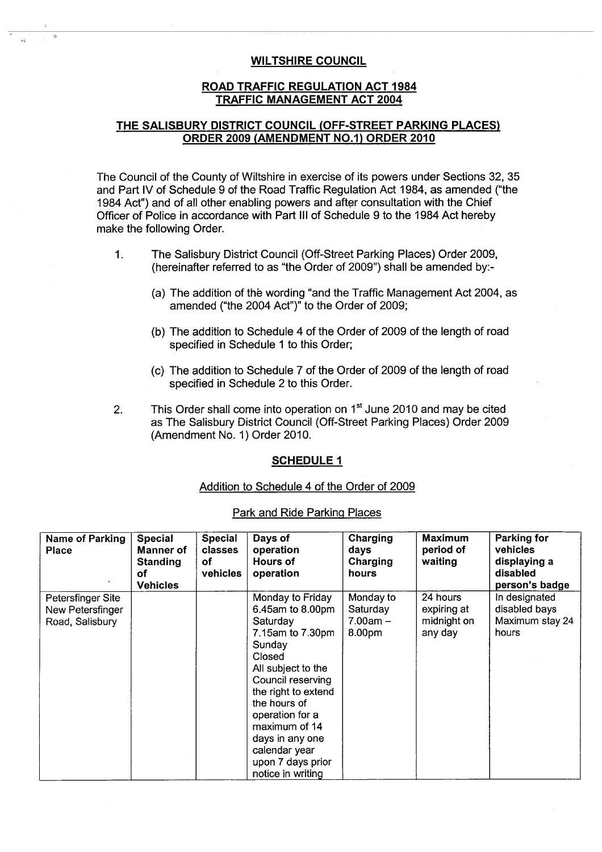## **WILTSHIRE COUNCIL**

### ROAD TRAFFIC REGULATION ACT 1984 TRAFFIC **MANAGEMENT** ACT 2004

## THE SALISBURY DISTRICT COUNCIL (OFF-STREET **PARKING** PLACES) **ORDER 2009 (AMENDMENT NO.1) ORDER 2010**

The Council of the County of Wiltshire in exercise of its powers under Sections 32, 35 and Part IV of Schedule 9 of the Road Traffic Regulation Act 1984, **as amended ("the** 1984 Act") and of all other enabling powers and after consultation with the Chief Officer of Police in accordance with Part III of Schedule 9 to the 1984 Act hereby make the following Order.

- 1. The Salisbury District Council (Off-Street Parking Places) Order 2009, (hereinafter referred to as "the Order of 2009") shall be amended by:-
	- **(a) The addition of the wording "and the** Traffic **Management Act 2004, as amended ("the 2004 Act")" to the Order of 2009;**
	- (b) The addition to Schedule 4 of the Order of 2009 of the length of road specified in Schedule 1 to this Order;
	- (c) The addition to Schedule 7 of the Order of 2009 of the length of road specified in Schedule 2 to this Order.
- 2. This **Order shall come into operation on 1 st June 2010 and may be cited as The Salisbury District Council (Off-Street Parking Places) Order 2009 (Amendment No. 1) Order 2010.**

#### **SCHEDULE 1**

#### Addition to Schedule 4 of the Order of 2009

| Name of Parking<br><b>Place</b><br>$\mathcal{F}$         | Special<br><b>Manner of</b><br><b>Standing</b><br>оf<br><b>Vehicles</b> | Special<br>classes<br>of<br>vehicles | Days of<br>operation<br>Hours of<br>operation                                                                                                                                                                                                                                                | Charging<br><b>days</b><br>Charging<br>hours  | <b>Maximum</b><br>period of<br>waiting            | Parking for<br>vehicles<br>displaying a<br>disabled<br>person's badge |
|----------------------------------------------------------|-------------------------------------------------------------------------|--------------------------------------|----------------------------------------------------------------------------------------------------------------------------------------------------------------------------------------------------------------------------------------------------------------------------------------------|-----------------------------------------------|---------------------------------------------------|-----------------------------------------------------------------------|
| Petersfinger Site<br>New Petersfinger<br>Road, Salisbury |                                                                         |                                      | Monday to Friday<br>6.45am to 8.00pm<br>Saturday<br>7.15am to 7.30pm<br>Sunday<br>Closed<br>All subject to the<br>Council reserving<br>the right to extend<br>the hours of<br>operation for a<br>maximum of 14<br>days in any one<br>calendar year<br>upon 7 days prior<br>notice in writing | Monday to<br>Saturday<br>$7.00am -$<br>8.00pm | 24 hours<br>expiring at<br>midnight on<br>any day | In designated<br>disabled bays<br>Maximum stay 24<br>hours            |

#### Park and Ride Parking Places